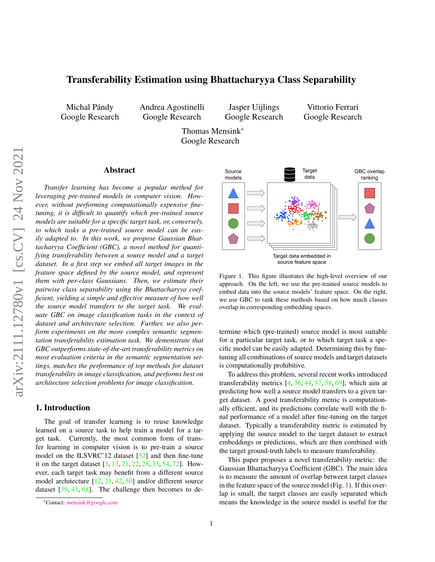# <span id="page-0-1"></span>Transferability Estimation using Bhattacharyya Class Separability

Michal Pándy Google Research Andrea Agostinelli Google Research

Jasper Uijlings Google Research

Vittorio Ferrari Google Research

Thomas Mensink\* Google Research

#### Abstract

*Transfer learning has become a popular method for leveraging pre-trained models in computer vision. However, without performing computationally expensive finetuning, it is difficult to quantify which pre-trained source models are suitable for a specific target task, or, conversely, to which tasks a pre-trained source model can be easily adapted to. In this work, we propose Gaussian Bhattacharyya Coefficient (GBC), a novel method for quantifying transferability between a source model and a target dataset. In a first step we embed all target images in the feature space defined by the source model, and represent them with per-class Gaussians. Then, we estimate their pairwise class separability using the Bhattacharyya coefficient, yielding a simple and effective measure of how well the source model transfers to the target task. We evaluate GBC on image classification tasks in the context of dataset and architecture selection. Further, we also perform experiments on the more complex semantic segmentation transferability estimation task. We demonstrate that GBC outperforms state-of-the-art transferability metrics on most evaluation criteria in the semantic segmentation settings, matches the performance of top methods for dataset transferability in image classification, and performs best on architecture selection problems for image classification.*

## 1. Introduction

The goal of transfer learning is to reuse knowledge learned on a source task to help train a model for a target task. Currently, the most common form of transfer learning in computer vision is to pre-train a source model on the ILSVRC'12 dataset [\[52\]](#page-9-0) and then fine-tune it on the target dataset [\[3,](#page-8-0) [13,](#page-8-1) [21,](#page-8-2) [22,](#page-8-3) [28,](#page-8-4) [33,](#page-8-5) [54,](#page-9-1) [72\]](#page-9-2). However, each target task may benefit from a different source model architecture [\[12,](#page-8-6) [23,](#page-8-7) [42,](#page-9-3) [50\]](#page-9-4) and/or different source dataset [\[39,](#page-9-5) [43,](#page-9-6) [68\]](#page-9-7). The challenge then becomes to de-

<span id="page-0-0"></span>

Figure 1. This figure illustrates the high-level overview of our approach. On the left, we use the pre-trained source models to embed data into the source models' feature space. On the right, we use GBC to rank these methods based on how much classes overlap in corresponding embedding spaces.

termine which (pre-trained) source model is most suitable for a particular target task, or to which target task a specific model can be easily adapted. Determining this by finetuning all combinations of source models and target datasets is computationally prohibitive.

To address this problem, several recent works introduced transferability metrics  $[4, 36, 44, 57, 58, 69]$  $[4, 36, 44, 57, 58, 69]$  $[4, 36, 44, 57, 58, 69]$  $[4, 36, 44, 57, 58, 69]$  $[4, 36, 44, 57, 58, 69]$  $[4, 36, 44, 57, 58, 69]$  $[4, 36, 44, 57, 58, 69]$  $[4, 36, 44, 57, 58, 69]$  $[4, 36, 44, 57, 58, 69]$  $[4, 36, 44, 57, 58, 69]$  $[4, 36, 44, 57, 58, 69]$ , which aim at predicting how well a source model transfers to a given target dataset. A good transferability metric is computationally efficient, and its predictions correlate well with the final performance of a model after fine-tuning on the target dataset. Typically a transferability metric is estimated by applying the source model to the target dataset to extract embeddings or predictions, which are then combined with the target ground-truth labels to measure transferability.

This paper proposes a novel transferability metric: the Gaussian Bhattacharyya Coefficient (GBC). The main idea is to measure the amount of overlap between target classes in the feature space of the source model (Fig. [1\)](#page-0-0). If this overlap is small, the target classes are easily separated which means the knowledge in the source model is useful for the

<sup>\*</sup>Contact: [mensink@google.com](mailto:mensink@google.com)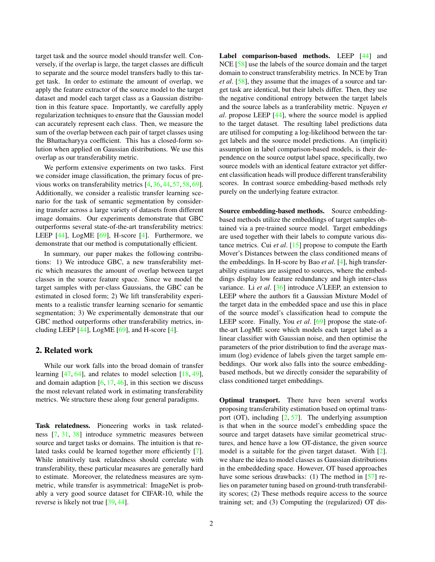<span id="page-1-0"></span>target task and the source model should transfer well. Conversely, if the overlap is large, the target classes are difficult to separate and the source model transfers badly to this target task. In order to estimate the amount of overlap, we apply the feature extractor of the source model to the target dataset and model each target class as a Gaussian distribution in this feature space. Importantly, we carefully apply regularization techniques to ensure that the Gaussian model can accurately represent each class. Then, we measure the sum of the overlap between each pair of target classes using the Bhattacharyya coefficient. This has a closed-form solution when applied on Gaussian distributions. We use this overlap as our transferability metric.

We perform extensive experiments on two tasks. First we consider image classification, the primary focus of previous works on transferability metrics [\[4,](#page-8-8) [36,](#page-8-9) [44,](#page-9-8) [57,](#page-9-9) [58,](#page-9-10) [69\]](#page-9-11). Additionally, we consider a realistic transfer learning scenario for the task of semantic segmentation by considering transfer across a large variety of datasets from different image domains. Our experiments demonstrate that GBC outperforms several state-of-the-art transferability metrics: LEEP  $[44]$ , LogME  $[69]$ , H-score  $[4]$ . Furthermore, we demonstrate that our method is computationally efficient.

In summary, our paper makes the following contributions: 1) We introduce GBC, a new transferability metric which measures the amount of overlap between target classes in the source feature space. Since we model the target samples with per-class Gaussians, the GBC can be estimated in closed form; 2) We lift transferability experiments to a realistic transfer learning scenario for semantic segmentation; 3) We experimentally demonstrate that our GBC method outperforms other transferability metrics, including LEEP  $[44]$ , LogME  $[69]$ , and H-score  $[4]$ .

## 2. Related work

While our work falls into the broad domain of transfer learning [\[47,](#page-9-12) [64\]](#page-9-13), and relates to model selection [\[18,](#page-8-10) [49\]](#page-9-14), and domain adaption  $[6, 17, 46]$  $[6, 17, 46]$  $[6, 17, 46]$  $[6, 17, 46]$  $[6, 17, 46]$ , in this section we discuss the most relevant related work in estimating transferability metrics. We structure these along four general paradigms.

Task relatedness. Pioneering works in task relatedness [\[7,](#page-8-13) [31,](#page-8-14) [38\]](#page-8-15) introduce symmetric measures between source and target tasks or domains. The intuition is that related tasks could be learned together more efficiently [\[7\]](#page-8-13). While intuitively task relatedness should correlate with transferability, these particular measures are generally hard to estimate. Moreover, the relatedness measures are symmetric, while transfer is asymmetrical: ImageNet is probably a very good source dataset for CIFAR-10, while the reverse is likely not true [\[39,](#page-9-5) [44\]](#page-9-8).

Label comparison-based methods. LEEP [\[44\]](#page-9-8) and NCE [\[58\]](#page-9-10) use the labels of the source domain and the target domain to construct transferability metrics. In NCE by Tran *et al*. [\[58\]](#page-9-10), they assume that the images of a source and target task are identical, but their labels differ. Then, they use the negative conditional entropy between the target labels and the source labels as a tranferability metric. Nguyen *et al*. propose LEEP [\[44\]](#page-9-8), where the source model is applied to the target dataset. The resulting label predictions data are utilised for computing a log-likelihood between the target labels and the source model predictions. An (implicit) assumption in label comparison-based models, is their dependence on the source output label space, specifically, two source models with an identical feature extractor yet different classification heads will produce different transferability scores. In contrast source embedding-based methods rely purely on the underlying feature extractor.

Source embedding-based methods. Source embeddingbased methods utilize the embeddings of target samples obtained via a pre-trained source model. Target embeddings are used together with their labels to compute various distance metrics. Cui *et al*. [\[15\]](#page-8-16) propose to compute the Earth Mover's Distances between the class conditioned means of the embeddings. In H-score by Bao *et al*. [\[4\]](#page-8-8), high transferability estimates are assigned to sources, where the embeddings display low feature redundancy and high inter-class variance. Li *et al.* [\[36\]](#page-8-9) introduce NLEEP, an extension to LEEP where the authors fit a Gaussian Mixture Model of the target data in the embedded space and use this in place of the source model's classification head to compute the LEEP score. Finally, You *et al*. [\[69\]](#page-9-11) propose the state-ofthe-art LogME score which models each target label as a linear classifier with Gaussian noise, and then optimise the parameters of the prior distribution to find the average maximum (log) evidence of labels given the target sample embeddings. Our work also falls into the source embeddingbased methods, but we directly consider the separability of class conditioned target embeddings.

Optimal transport. There have been several works proposing transferability estimation based on optimal transport (OT), including  $[2, 57]$  $[2, 57]$  $[2, 57]$ . The underlying assumption is that when in the source model's embedding space the source and target datasets have similar geometrical structures, and hence have a low OT-distance, the given source model is a suitable for the given target dataset. With [\[2\]](#page-8-17). we share the idea to model classes as Gaussian distributions in the embeddeding space. However, OT based approaches have some serious drawbacks: (1) The method in [\[57\]](#page-9-9) relies on parameter tuning based on ground-truth transferability scores; (2) These methods require access to the source training set; and (3) Computing the (regularized) OT dis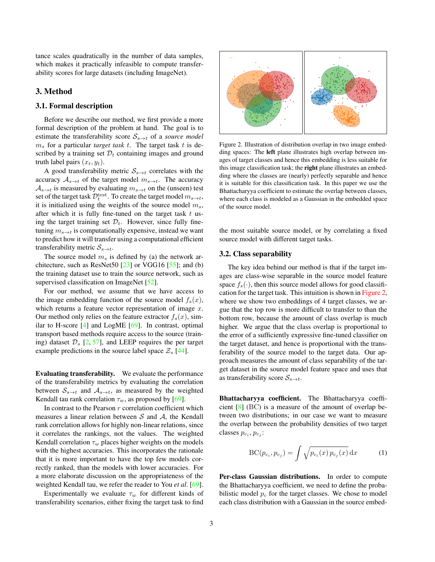<span id="page-2-2"></span>tance scales quadratically in the number of data samples, which makes it practically infeasible to compute transferability scores for large datasets (including ImageNet).

### 3. Method

#### <span id="page-2-1"></span>3.1. Formal description

Before we describe our method, we first provide a more formal description of the problem at hand. The goal is to estimate the transferability score  $S_{s\to t}$  of a *source model*  $m<sub>s</sub>$  for a particular *target task t*. The target task t is described by a training set  $\mathcal{D}_t$  containing images and ground truth label pairs  $(x_t, y_t)$ .

A good transferability metric  $S_{s\rightarrow t}$  correlates with the accuracy  $A_{s\to t}$  of the target model  $m_{s\to t}$ . The accuracy  $A_{s\to t}$  is measured by evaluating  $m_{s\to t}$  on the (unseen) test set of the target task  $\mathcal{D}_t^{\text{test}}$ . To create the target model  $m_{s \to t},$ it is initialized using the weights of the source model  $m_s$ , after which it is fully fine-tuned on the target task  $t$  using the target training set  $\mathcal{D}_t$ . However, since fully finetuning  $m_{s\rightarrow t}$  is computationally expensive, instead we want to predict how it will transfer using a computational efficient transferability metric  $S_{s\rightarrow t}$ .

The source model  $m<sub>s</sub>$  is defined by (a) the network architecture, such as ResNet50  $[23]$  or VGG16  $[55]$ ; and (b) the training dataset use to train the source network, such as supervised classification on ImageNet [\[52\]](#page-9-0).

For our method, we assume that we have access to the image embedding function of the source model  $f_s(x)$ , which returns a feature vector representation of image  $x$ . Our method only relies on the feature extractor  $f_s(x)$ , similar to H-score  $[4]$  and LogME  $[69]$ . In contrast, optimal transport based methods require access to the source (training) dataset  $\mathcal{D}_s$  [\[2,](#page-8-17) [57\]](#page-9-9), and LEEP requires the per target example predictions in the source label space  $\mathcal{Z}_s$  [\[44\]](#page-9-8).

Evaluating transferability. We evaluate the performance of the transferability metrics by evaluating the correlation between  $S_{s\to t}$  and  $A_{s\to t}$ , as measured by the weighted Kendall tau rank correlation  $\tau_w$ , as proposed by [\[69\]](#page-9-11).

In contrast to the Pearson  $r$  correlation coefficient which measures a linear relation between  $S$  and  $A$ , the Kendall rank correlation allows for highly non-linear relations, since it correlates the rankings, not the values. The weighted Kendall correlation  $\tau_w$  places higher weights on the models with the highest accuracies. This incorporates the rationale that it is more important to have the top few models correctly ranked, than the models with lower accuracies. For a more elaborate discussion on the appropriateness of the weighted Kendall tau, we refer the reader to You *et al*. [\[69\]](#page-9-11).

Experimentally we evaluate  $\tau_w$  for different kinds of transferability scenarios, either fixing the target task to find

<span id="page-2-0"></span>

Figure 2. Illustration of distribution overlap in two image embedding spaces: The left plane illustrates high overlap between images of target classes and hence this embedding is less suitable for this image classification task; the **right** plane illustrates an embedding where the classes are (nearly) perfectly separable and hence it is suitable for this classification task. In this paper we use the Bhattacharyya coefficient to estimate the overlap between classes, where each class is modeled as a Gaussian in the embedded space of the source model.

the most suitable source model, or by correlating a fixed source model with different target tasks.

#### 3.2. Class separability

The key idea behind our method is that if the target images are class-wise separable in the source model feature space  $f_s(\cdot)$ , then this source model allows for good classification for the target task. This intuition is shown in [Figure 2,](#page-2-0) where we show two embeddings of 4 target classes, we argue that the top row is more difficult to transfer to than the bottom row, because the amount of class overlap is much higher. We argue that the class overlap is proportional to the error of a sufficiently expressive fine-tuned classifier on the target dataset, and hence is proportional with the transferability of the source model to the target data. Our approach measures the amount of class separability of the target dataset in the source model feature space and uses that as transferability score  $S_{s\to t}$ .

Bhattacharyya coefficient. The Bhattacharyya coefficient [\[8\]](#page-8-18) (BC) is a measure of the amount of overlap between two distributions; in our case we want to measure the overlap between the probability densities of two target classes  $p_{c_i}, p_{c_j}$ :

$$
BC(p_{c_i}, p_{c_j}) = \int \sqrt{p_{c_i}(x) p_{c_j}(x)} dx \qquad (1)
$$

Per-class Gaussian distributions. In order to compute the Bhattacharyya coefficient, we need to define the probabilistic model  $p_c$  for the target classes. We chose to model each class distribution with a Gaussian in the source embed-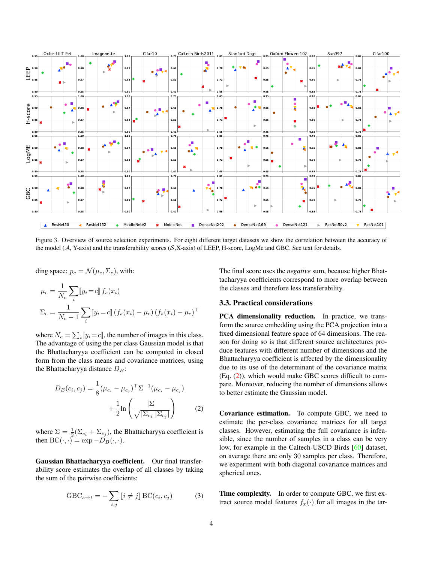<span id="page-3-3"></span><span id="page-3-2"></span>

Figure 3. Overview of source selection experiments. For eight different target datasets we show the correlation between the accuracy of the model ( $A$ , Y-axis) and the transferability scores ( $S$ , X-axis) of LEEP, H-score, LogMe and GBC. See text for details.

ding space:  $p_c = \mathcal{N}(\mu_c, \Sigma_c)$ , with:

$$
\mu_c = \frac{1}{N_c} \sum_i [y_i = c] f_s(x_i)
$$
  

$$
\Sigma_c = \frac{1}{N_c - 1} \sum_i [y_i = c] (f_s(x_i) - \mu_c) (f_s(x_i) - \mu_c)^\top
$$

where  $N_c = \sum_i [y_i = c]$ , the number of images in this class. The advantage of using the per class Gaussian model is that the Bhattacharyya coefficient can be computed in closed form from the class means and covariance matrices, using the Bhattacharyya distance  $D_B$ :

$$
D_B(c_i, c_j) = \frac{1}{8} (\mu_{c_i} - \mu_{c_j})^{\top} \Sigma^{-1} (\mu_{c_i} - \mu_{c_j}) + \frac{1}{2} \ln \left( \frac{|\Sigma|}{\sqrt{|\Sigma_{c_i}| |\Sigma_{c_j}|}} \right)
$$
 (2)

where  $\Sigma = \frac{1}{2}(\Sigma_{c_i} + \Sigma_{c_j})$ , the Bhattacharyya coefficient is then  $BC(\cdot, \cdot) = \exp{-D_B(\cdot, \cdot)}$ .

Gaussian Bhattacharyya coefficient. Our final transferability score estimates the overlap of all classes by taking the sum of the pairwise coefficients:

<span id="page-3-1"></span>
$$
GBC_{s \to t} = -\sum_{i,j} \llbracket i \neq j \rrbracket \, BC(c_i, c_j) \tag{3}
$$

The final score uses the *negative* sum, because higher Bhattacharyya coefficients correspond to more overlap between the classes and therefore less transferability.

### 3.3. Practical considerations

PCA dimensionality reduction. In practice, we transform the source embedding using the PCA projection into a fixed dimensional feature space of 64 dimensions. The reason for doing so is that different source architectures produce features with different number of dimensions and the Bhattacharyya coefficient is affected by the dimensionality due to its use of the determinant of the covariance matrix (Eq. [\(2\)](#page-3-0)), which would make GBC scores difficult to compare. Moreover, reducing the number of dimensions allows to better estimate the Gaussian model.

<span id="page-3-0"></span>Covariance estimation. To compute GBC, we need to estimate the per-class covariance matrices for all target classes. However, estimating the full covariance is infeasible, since the number of samples in a class can be very low, for example in the Caltech-USCD Birds [\[60\]](#page-9-17) dataset, on average there are only 30 samples per class. Therefore, we experiment with both diagonal covariance matrices and spherical ones.

Time complexity. In order to compute GBC, we first extract source model features  $f_x(\cdot)$  for all images in the tar-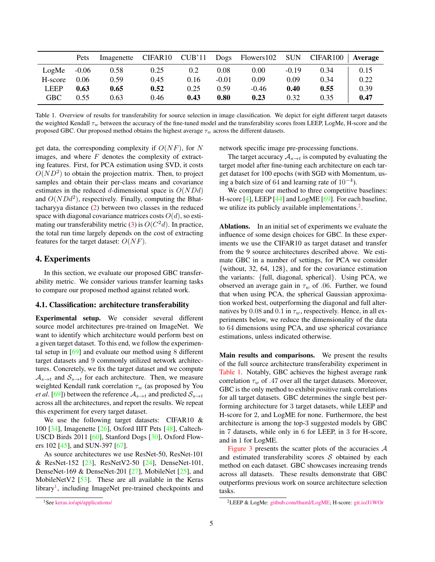<span id="page-4-3"></span><span id="page-4-2"></span>

|             | Pets    | Imagenette |      |      |         | CIFAR10 CUB'11 Dogs Flowers102 SUN |         | $CIFAR100$   Average |      |
|-------------|---------|------------|------|------|---------|------------------------------------|---------|----------------------|------|
| LogMe       | $-0.06$ | 0.58       | 0.25 | 0.2  | 0.08    | 0.00                               | $-0.19$ | 0.34                 | 0.15 |
| H-score     | 0.06    | 0.59       | 0.45 | 0.16 | $-0.01$ | 0.09                               | 0.09    | 0.34                 | 0.22 |
| <b>LEEP</b> | 0.63    | 0.65       | 0.52 | 0.25 | 0.59    | $-0.46$                            | 0.40    | 0.55                 | 0.39 |
| <b>GBC</b>  | 0.55    | 0.63       | 0.46 | 0.43 | 0.80    | 0.23                               | 0.32    | 0.35                 | 0.47 |

Table 1. Overview of results for transferability for source selection in image classification. We depict for eight different target datasets the weighted Kendall  $\tau_w$  between the accuracy of the fine-tuned model and the transferability scores from LEEP, LogMe, H-score and the proposed GBC. Our proposed method obtains the highest average  $\tau_w$  across the different datasets.

get data, the corresponding complexity if  $O(NF)$ , for N images, and where  $F$  denotes the complexity of extracting features. First, for PCA estimation using SVD, it costs  $O(ND^2)$  to obtain the projection matrix. Then, to project samples and obtain their per-class means and covariance estimates in the reduced d-dimensional space is  $O(NDd)$ and  $O(NDd^2)$ , respectively. Finally, computing the Bhattacharyya distance [\(2\)](#page-3-0) between two classes in the reduced space with diagonal covariance matrices costs  $O(d)$ , so esti-mating our transferability metric [\(3\)](#page-3-1) is  $O(C^2d)$ . In practice, the total run time largely depends on the cost of extracting features for the target dataset:  $O(NF)$ .

## 4. Experiments

In this section, we evaluate our proposed GBC transferability metric. We consider various transfer learning tasks to compare our proposed method against related work.

### 4.1. Classification: architecture transferability

Experimental setup. We consider several different source model architectures pre-trained on ImageNet. We want to identify which architecture would perform best on a given target dataset. To this end, we follow the experimental setup in [\[69\]](#page-9-11) and evaluate our method using 8 different target datasets and 9 commonly utilized network architectures. Concretely, we fix the target dataset and we compute  $A_{s\to t}$  and  $S_{s\to t}$  for each architecture. Then, we measure weighted Kendall rank correlation  $\tau_w$  (as proposed by You *et al.* [\[69\]](#page-9-11)) between the reference  $A_{s\to t}$  and predicted  $S_{s\to t}$ across all the architectures, and report the results. We repeat this experiment for every target dataset.

We use the following target datasets: CIFAR10 & 100 [\[34\]](#page-8-19), Imagenette [\[26\]](#page-8-20), Oxford IIIT Pets [\[48\]](#page-9-18), Caltech-USCD Birds 2011 [\[60\]](#page-9-17), Stanford Dogs [\[30\]](#page-8-21), Oxford Flowers 102 [\[45\]](#page-9-19), and SUN-397 [\[67\]](#page-9-20).

As source architectures we use ResNet-50, ResNet-101 & ResNet-152 [\[23\]](#page-8-7), ResNetV2-50 [\[24\]](#page-8-22), DenseNet-101, DenseNet-169 & DenseNet-201 [\[27\]](#page-8-23), MobileNet [\[25\]](#page-8-24), and MobileNetV2 [\[53\]](#page-9-21). These are all available in the Keras library<sup>[1](#page-4-0)</sup>, including ImageNet pre-trained checkpoints and

network specific image pre-processing functions.

The target accuracy  $A_{s\to t}$  is computed by evaluating the target model after fine-tuning each architecture on each target dataset for 100 epochs (with SGD with Momentum, using a batch size of 64 and learning rate of  $10^{-4}$ ).

We compare our method to three competitive baselines: H-score [\[4\]](#page-8-8), LEEP [\[44\]](#page-9-8) and LogME [\[69\]](#page-9-11). For each baseline, we utilize its publicly available implementations. $<sup>2</sup>$  $<sup>2</sup>$  $<sup>2</sup>$ .</sup>

Ablations. In an initial set of experiments we evaluate the influence of some design choices for GBC. In these experiments we use the CIFAR10 as target dataset and transfer from the 9 source architectures described above. We estimate GBC in a number of settings, for PCA we consider {without, 32, 64, 128}, and for the covariance estimation the variants: {full, diagonal, spherical}. Using PCA, we observed an average gain in  $\tau_w$  of .06. Further, we found that when using PCA, the spherical Gaussian approximation worked best, outperforming the diagonal and full alternatives by 0.08 and 0.1 in  $\tau_w$ , respectively. Hence, in all experiments below, we reduce the dimensionality of the data to 64 dimensions using PCA, and use spherical covariance estimations, unless indicated otherwise.

Main results and comparisons. We present the results of the full source architecture transferability experiment in [Table 1.](#page-4-2) Notably, GBC achieves the highest average rank correlation  $\tau_w$  of .47 over all the target datasets. Moreover, GBC is the only method to exhibit positive rank correlations for all target datasets. GBC determines the single best performing architecture for 3 target datasets, while LEEP and H-score for 2, and LogME for none. Furthermore, the best architecture is among the top-3 suggested models by GBC in 7 datasets, while only in 6 for LEEP, in 3 for H-score, and in 1 for LogME.

[Figure 3](#page-3-2) presents the scatter plots of the accuracies  $A$ and estimated transferability scores  $S$  obtained by each method on each dataset. GBC showcases increasing trends across all datasets. These results demonstrate that GBC outperforms previous work on source architecture selection tasks.

<span id="page-4-0"></span><sup>&</sup>lt;sup>1</sup>See [keras.io/api/applications/](https://keras.io/api/applications/)

<span id="page-4-1"></span><sup>2</sup>LEEP & LogMe: [github.com/thuml/LogME;](https://github.com/thuml/LogME) H-score: [git.io/J1WOr](https://git.io/J1WOr)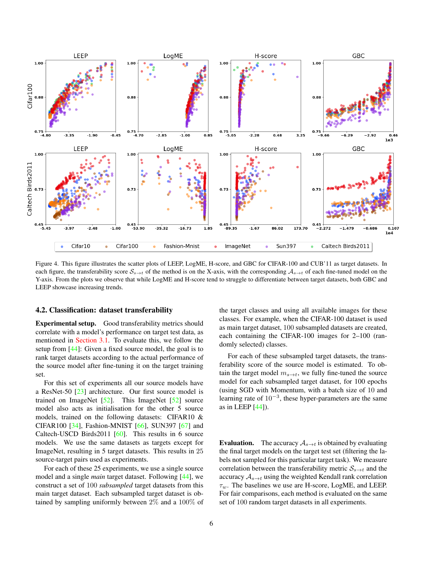<span id="page-5-1"></span><span id="page-5-0"></span>

Figure 4. This figure illustrates the scatter plots of LEEP, LogME, H-score, and GBC for CIFAR-100 and CUB'11 as target datasets. In each figure, the transferability score  $S_{s\to t}$  of the method is on the X-axis, with the corresponding  $A_{s\to t}$  of each fine-tuned model on the Y-axis. From the plots we observe that while LogME and H-score tend to struggle to differentiate between target datasets, both GBC and LEEP showcase increasing trends.

#### 4.2. Classification: dataset transferability

Experimental setup. Good transferability metrics should correlate with a model's performance on target test data, as mentioned in [Section 3.1.](#page-2-1) To evaluate this, we follow the setup from [\[44\]](#page-9-8): Given a fixed source model, the goal is to rank target datasets according to the actual performance of the source model after fine-tuning it on the target training set.

For this set of experiments all our source models have a ResNet-50 [\[23\]](#page-8-7) architecture. Our first source model is trained on ImageNet [\[52\]](#page-9-0). This ImageNet [\[52\]](#page-9-0) source model also acts as initialisation for the other 5 source models, trained on the following datasets: CIFAR10 & CIFAR100 [\[34\]](#page-8-19), Fashion-MNIST [\[66\]](#page-9-22), SUN397 [\[67\]](#page-9-20) and Caltech-USCD Birds2011 [\[60\]](#page-9-17). This results in 6 source models. We use the same datasets as targets except for ImageNet, resulting in 5 target datasets. This results in 25 source-target pairs used as experiments.

For each of these 25 experiments, we use a single source model and a single *main* target dataset. Following [\[44\]](#page-9-8), we construct a set of 100 *subsampled* target datasets from this main target dataset. Each subsampled target dataset is obtained by sampling uniformly between 2% and a 100% of the target classes and using all available images for these classes. For example, when the CIFAR-100 dataset is used as main target dataset, 100 subsampled datasets are created, each containing the CIFAR-100 images for 2–100 (randomly selected) classes.

For each of these subsampled target datasets, the transferability score of the source model is estimated. To obtain the target model  $m_{s\rightarrow t}$ , we fully fine-tuned the source model for each subsampled target dataset, for 100 epochs (using SGD with Momentum, with a batch size of 10 and learning rate of  $10^{-3}$ , these hyper-parameters are the same as in LEEP [\[44\]](#page-9-8)).

**Evaluation.** The accuracy  $A_{s\rightarrow t}$  is obtained by evaluating the final target models on the target test set (filtering the labels not sampled for this particular target task). We measure correlation between the transferability metric  $S_{s\to t}$  and the accuracy  $A_{s\rightarrow t}$  using the weighted Kendall rank correlation  $\tau_w$ . The baselines we use are H-score, LogME, and LEEP. For fair comparisons, each method is evaluated on the same set of 100 random target datasets in all experiments.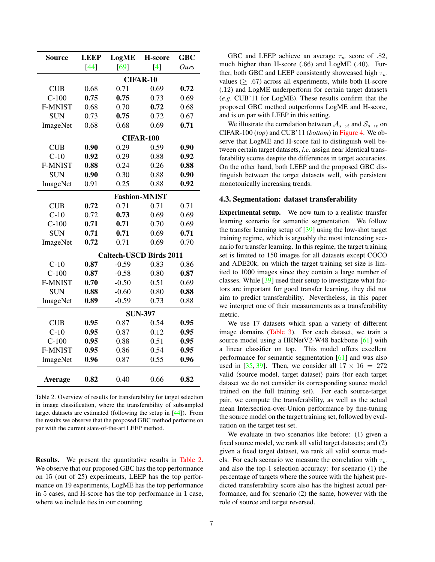<span id="page-6-1"></span><span id="page-6-0"></span>

| Source         | <b>LEEP</b><br>LogME           |                  | H-score          | <b>GBC</b> |  |  |  |
|----------------|--------------------------------|------------------|------------------|------------|--|--|--|
|                | [44]                           | [69]             | $\left[4\right]$ | Ours       |  |  |  |
|                | <b>CIFAR-10</b>                |                  |                  |            |  |  |  |
| <b>CUB</b>     | 0.68                           | 0.71             | 0.69             | 0.72       |  |  |  |
| $C-100$        | 0.75                           | 0.75             | 0.73             | 0.69       |  |  |  |
| <b>F-MNIST</b> | 0.68                           | 0.70             | 0.72             | 0.68       |  |  |  |
| <b>SUN</b>     | 0.73                           | 0.75             | 0.72             | 0.67       |  |  |  |
| ImageNet       | 0.68                           | 0.68             | 0.69             | 0.71       |  |  |  |
|                |                                | <b>CIFAR-100</b> |                  |            |  |  |  |
| <b>CUB</b>     | 0.90                           | 0.29             | 0.59             | 0.90       |  |  |  |
| $C-10$         | 0.92                           | 0.29             | 0.88             | 0.92       |  |  |  |
| <b>F-MNIST</b> | 0.88                           | 0.24             | 0.26             | 0.88       |  |  |  |
| <b>SUN</b>     | 0.90                           | 0.30             | 0.88             | 0.90       |  |  |  |
| ImageNet       | 0.91                           | 0.25             | 0.88             | 0.92       |  |  |  |
|                | <b>Fashion-MNIST</b>           |                  |                  |            |  |  |  |
| <b>CUB</b>     | 0.72                           | 0.71             | 0.71             | 0.71       |  |  |  |
| $C-10$         | 0.72                           | 0.73             | 0.69             | 0.69       |  |  |  |
| $C-100$        | 0.71                           | 0.71             | 0.70             | 0.69       |  |  |  |
| <b>SUN</b>     | 0.71                           | 0.71             | 0.69             | 0.71       |  |  |  |
| ImageNet       | 0.72                           | 0.71             | 0.69             | 0.70       |  |  |  |
|                | <b>Caltech-USCD Birds 2011</b> |                  |                  |            |  |  |  |
| $C-10$         | 0.87                           | $-0.59$          | 0.83             | 0.86       |  |  |  |
| $C-100$        | 0.87                           | $-0.58$          | 0.80             | 0.87       |  |  |  |
| <b>F-MNIST</b> | 0.70                           | $-0.50$          | 0.51             | 0.69       |  |  |  |
| <b>SUN</b>     | 0.88                           | $-0.60$          | 0.80             | 0.88       |  |  |  |
| ImageNet       | 0.89                           | $-0.59$          | 0.73             | 0.88       |  |  |  |
|                | <b>SUN-397</b>                 |                  |                  |            |  |  |  |
| <b>CUB</b>     | 0.95                           | 0.87             | 0.54             | 0.95       |  |  |  |
| $C-10$         | 0.95                           | 0.87             | 0.12             | 0.95       |  |  |  |
| $C-100$        | 0.95                           | 0.88             | 0.51             | 0.95       |  |  |  |
| <b>F-MNIST</b> | 0.95                           | 0.86             | 0.54             | 0.95       |  |  |  |
| ImageNet       | 0.96                           | 0.87             | 0.55             | 0.96       |  |  |  |
| Average        | 0.82                           | 0.40             | 0.66             | 0.82       |  |  |  |

Table 2. Overview of results for transferability for target selection in image classification, where the transferability of subsampled target datasets are estimated (following the setup in [\[44\]](#page-9-8)). From the results we observe that the proposed GBC method performs on par with the current state-of-the-art LEEP method.

Results. We present the quantitative results in [Table 2.](#page-6-0) We observe that our proposed GBC has the top performance on 15 (out of 25) experiments, LEEP has the top performance on 19 experiments, LogME has the top performance in 5 cases, and H-score has the top performance in 1 case, where we include ties in our counting.

GBC and LEEP achieve an average  $\tau_w$  score of .82, much higher than H-score (.66) and LogME (.40). Further, both GBC and LEEP consistently showcased high  $\tau_w$ values ( $\geq .67$ ) across all experiments, while both H-score (.12) and LogME underperform for certain target datasets (*e.g*. CUB'11 for LogME). These results confirm that the proposed GBC method outperforms LogME and H-score, and is on par with LEEP in this setting.

We illustrate the correlation between  $A_{s\to t}$  and  $S_{s\to t}$  on CIFAR-100 (*top*) and CUB'11 (*bottom*) in [Figure 4.](#page-5-0) We observe that LogME and H-score fail to distinguish well between certain target datasets, *i.e*. assign near identical transferability scores despite the differences in target accuracies. On the other hand, both LEEP and the proposed GBC distinguish between the target datasets well, with persistent monotonically increasing trends.

## 4.3. Segmentation: dataset transferability

Experimental setup. We now turn to a realistic transfer learning scenario for semantic segmentation. We follow the transfer learning setup of [\[39\]](#page-9-5) using the low-shot target training regime, which is arguably the most interesting scenario for transfer learning. In this regime, the target training set is limited to 150 images for all datasets except COCO and ADE20k, on which the target training set size is limited to 1000 images since they contain a large number of classes. While [\[39\]](#page-9-5) used their setup to investigate what factors are important for good transfer learning, they did not aim to predict transferability. Nevertheless, in this paper we interpret one of their measurements as a transferability metric.

We use 17 datasets which span a variety of different image domains [\(Table 3\)](#page-7-0). For each dataset, we train a source model using a HRNetV2-W48 backbone [\[61\]](#page-9-23) with a linear classifier on top. This model offers excellent performance for semantic segmentation [\[61\]](#page-9-23) and was also used in [\[35,](#page-8-25) [39\]](#page-9-5). Then, we consider all  $17 \times 16 = 272$ valid  $\langle$  source model, target dataset $\rangle$  pairs (for each target dataset we do not consider its corresponding source model trained on the full training set). For each source-target pair, we compute the transferability, as well as the actual mean Intersection-over-Union performance by fine-tuning the source model on the target training set, followed by evaluation on the target test set.

We evaluate in two scenarios like before: (1) given a fixed source model, we rank all valid target datasets; and (2) given a fixed target dataset, we rank all valid source models. For each scenario we measure the correlation with  $\tau_w$ and also the top-1 selection accuracy: for scenario (1) the percentage of targets where the source with the highest predicted transferability score also has the highest actual performance, and for scenario (2) the same, however with the role of source and target reversed.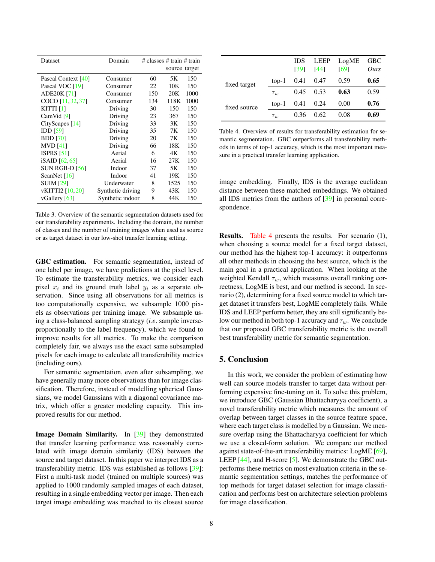<span id="page-7-2"></span><span id="page-7-0"></span>

| Domain           |          |                                 |                     |
|------------------|----------|---------------------------------|---------------------|
|                  |          | $#$ classes $#$ train $#$ train |                     |
|                  |          |                                 |                     |
|                  |          |                                 |                     |
|                  |          |                                 | 150                 |
| Consumer         | 22       | 10K                             | 150                 |
| Consumer         | 150      | 20K                             | 1000                |
| Consumer         | 134      | 118K                            | 1000                |
| Driving          | 30       | 150                             | 150                 |
| Driving          | 23       | 367                             | 150                 |
| Driving          | 33       | 3K                              | 150                 |
| Driving          | 35       | 7K                              | 150                 |
| Driving          | 20       | 7K                              | 150                 |
| Driving          | 66       | 18K                             | 150                 |
| Aerial           | 6        | 4Κ                              | 150                 |
| Aerial           | 16       | 27K                             | 150                 |
| Indoor           | 37       | 5K                              | 150                 |
| Indoor           | 41       | 19K                             | 150                 |
| Underwater       | 8        | 1525                            | 150                 |
|                  | 9        | 43K                             | 150                 |
| Synthetic indoor | 8        | 44 K                            | 150                 |
|                  | Consumer | 60<br>Synthetic driving         | source target<br>5K |

Table 3. Overview of the semantic segmentation datasets used for our transferability experiments. Including the domain, the number of classes and the number of training images when used as source or as target dataset in our low-shot transfer learning setting.

GBC estimation. For semantic segmentation, instead of one label per image, we have predictions at the pixel level. To estimate the transferability metrics, we consider each pixel  $x_i$  and its ground truth label  $y_i$  as a separate observation. Since using all observations for all metrics is too computationally expensive, we subsample 1000 pixels as observations per training image. We subsample using a class-balanced sampling strategy (*i.e*. sample inverseproportionally to the label frequency), which we found to improve results for all metrics. To make the comparison completely fair, we always use the exact same subsampled pixels for each image to calculate all transferability metrics (including ours).

For semantic segmentation, even after subsampling, we have generally many more observations than for image classification. Therefore, instead of modelling spherical Gaussians, we model Gaussians with a diagonal covariance matrix, which offer a greater modeling capacity. This improved results for our method.

Image Domain Similarity. In [\[39\]](#page-9-5) they demonstrated that transfer learning performance was reasonably correlated with image domain similarity (IDS) between the source and target dataset. In this paper we interpret IDS as a transferability metric. IDS was established as follows [\[39\]](#page-9-5): First a multi-task model (trained on multiple sources) was applied to 1000 randomly sampled images of each dataset, resulting in a single embedding vector per image. Then each target image embedding was matched to its closest source

<span id="page-7-1"></span>

|              |          | <b>IDS</b><br>[39] | LEEP<br>[44] | LogME<br>[69] | <b>GBC</b><br>Ours |
|--------------|----------|--------------------|--------------|---------------|--------------------|
| fixed target | $top-1$  | 0.41               | 0.47         | 0.59          | 0.65               |
|              | $\tau_w$ | 0.45               | 0.53         | 0.63          | 0.59               |
| fixed source | $top-1$  | 0.41               | 0.24         | 0.00          | 0.76               |
|              | $\tau_w$ | 0.36               | 0.62         | 0.08          | 0.69               |

Table 4. Overview of results for transferability estimation for semantic segmentation. GBC outperforms all transferability methods in terms of top-1 accuracy, which is the most important measure in a practical transfer learning application.

image embedding. Finally, IDS is the average euclidean distance between these matched embeddings. We obtained all IDS metrics from the authors of [\[39\]](#page-9-5) in personal correspondence.

Results. [Table 4](#page-7-1) presents the results. For scenario (1), when choosing a source model for a fixed target dataset, our method has the highest top-1 accuracy: it outperforms all other methods in choosing the best source, which is the main goal in a practical application. When looking at the weighted Kendall  $\tau_w$ , which measures overall ranking correctness, LogME is best, and our method is second. In scenario (2), determining for a fixed source model to which target dataset it transfers best, LogME completely fails. While IDS and LEEP perform better, they are still significantly below our method in both top-1 accuracy and  $\tau_w$ . We conclude that our proposed GBC transferability metric is the overall best transferability metric for semantic segmentation.

## 5. Conclusion

In this work, we consider the problem of estimating how well can source models transfer to target data without performing expensive fine-tuning on it. To solve this problem, we introduce GBC (Gaussian Bhattacharyya coefficient), a novel transferability metric which measures the amount of overlap between target classes in the source feature space, where each target class is modelled by a Gaussian. We measure overlap using the Bhattacharyya coefficient for which we use a closed-form solution. We compare our method against state-of-the-art transferability metrics: LogME [\[69\]](#page-9-11), LEEP  $[44]$ , and H-score  $[5]$ . We demonstrate the GBC outperforms these metrics on most evaluation criteria in the semantic segmentation settings, matches the performance of top methods for target dataset selection for image classification and performs best on architecture selection problems for image classification.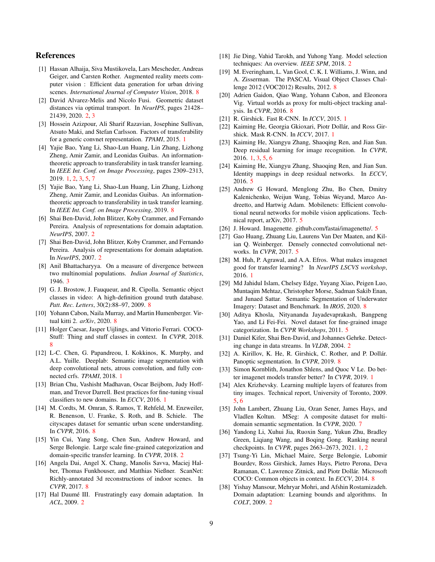## References

- <span id="page-8-30"></span>[1] Hassan Alhaija, Siva Mustikovela, Lars Mescheder, Andreas Geiger, and Carsten Rother. Augmented reality meets computer vision : Efficient data generation for urban driving scenes. *International Journal of Computer Vision*, 2018. [8](#page-7-2)
- <span id="page-8-17"></span>[2] David Alvarez-Melis and Nicolo Fusi. Geometric dataset distances via optimal transport. In *NeurIPS*, pages 21428– 21439, 2020. [2,](#page-1-0) [3](#page-2-2)
- <span id="page-8-0"></span>[3] Hossein Azizpour, Ali Sharif Razavian, Josephine Sullivan, Atsuto Maki, and Stefan Carlsson. Factors of transferability for a generic convnet representation. *TPAMI*, 2015. [1](#page-0-1)
- <span id="page-8-8"></span>[4] Yajie Bao, Yang Li, Shao-Lun Huang, Lin Zhang, Lizhong Zheng, Amir Zamir, and Leonidas Guibas. An informationtheoretic approach to transferability in task transfer learning. In *IEEE Int. Conf. on Image Processing*, pages 2309–2313, 2019. [1,](#page-0-1) [2,](#page-1-0) [3,](#page-2-2) [5,](#page-4-3) [7](#page-6-1)
- <span id="page-8-37"></span>[5] Yajie Bao, Yang Li, Shao-Lun Huang, Lin Zhang, Lizhong Zheng, Amir Zamir, and Leonidas Guibas. An informationtheoretic approach to transferability in task transfer learning. In *IEEE Int. Conf. on Image Processing*, 2019. [8](#page-7-2)
- <span id="page-8-11"></span>[6] Shai Ben-David, John Blitzer, Koby Crammer, and Fernando Pereira. Analysis of representations for domain adaptation. *NeurIPS*, 2007. [2](#page-1-0)
- <span id="page-8-13"></span>[7] Shai Ben-David, John Blitzer, Koby Crammer, and Fernando Pereira. Analysis of representations for domain adaptation. In *NeurIPS*, 2007. [2](#page-1-0)
- <span id="page-8-18"></span>[8] Anil Bhattacharyya. On a measure of divergence between two multinomial populations. *Indian Journal of Statistics*, 1946. [3](#page-2-2)
- <span id="page-8-31"></span>[9] G. J. Brostow, J. Fauqueur, and R. Cipolla. Semantic object classes in video: A high-definition ground truth database. *Patt. Rec. Letters*, 30(2):88–97, 2009. [8](#page-7-2)
- <span id="page-8-35"></span>[10] Yohann Cabon, Naila Murray, and Martin Humenberger. Virtual kitti 2. *arXiv*, 2020. [8](#page-7-2)
- <span id="page-8-27"></span>[11] Holger Caesar, Jasper Uijlings, and Vittorio Ferrari. COCO-Stuff: Thing and stuff classes in context. In *CVPR*, 2018. [8](#page-7-2)
- <span id="page-8-6"></span>[12] L-C. Chen, G. Papandreou, I. Kokkinos, K. Murphy, and A.L. Yuille. Deeplab: Semantic image segmentation with deep convolutional nets, atrous convolution, and fully connected crfs. *TPAMI*, 2018. [1](#page-0-1)
- <span id="page-8-1"></span>[13] Brian Chu, Vashisht Madhavan, Oscar Beijbom, Judy Hoffman, and Trevor Darrell. Best practices for fine-tuning visual classifiers to new domains. In *ECCV*, 2016. [1](#page-0-1)
- <span id="page-8-32"></span>[14] M. Cordts, M. Omran, S. Ramos, T. Rehfeld, M. Enzweiler, R. Benenson, U. Franke, S. Roth, and B. Schiele. The cityscapes dataset for semantic urban scene understanding. In *CVPR*, 2016. [8](#page-7-2)
- <span id="page-8-16"></span>[15] Yin Cui, Yang Song, Chen Sun, Andrew Howard, and Serge Belongie. Large scale fine-grained categorization and domain-specific transfer learning. In *CVPR*, 2018. [2](#page-1-0)
- <span id="page-8-33"></span>[16] Angela Dai, Angel X. Chang, Manolis Savva, Maciej Halber, Thomas Funkhouser, and Matthias Nießner. ScanNet: Richly-annotated 3d reconstructions of indoor scenes. In *CVPR*, 2017. [8](#page-7-2)
- <span id="page-8-12"></span>[17] Hal Daumé III. Frustratingly easy domain adaptation. In *ACL*, 2009. [2](#page-1-0)
- <span id="page-8-10"></span>[18] Jie Ding, Vahid Tarokh, and Yuhong Yang. Model selection techniques: An overview. *IEEE SPM*, 2018. [2](#page-1-0)
- <span id="page-8-26"></span>[19] M. Everingham, L. Van Gool, C. K. I. Williams, J. Winn, and A. Zisserman. The PASCAL Visual Object Classes Challenge 2012 (VOC2012) Results, 2012. [8](#page-7-2)
- <span id="page-8-36"></span>[20] Adrien Gaidon, Qiao Wang, Yohann Cabon, and Eleonora Vig. Virtual worlds as proxy for multi-object tracking analysis. In *CVPR*, 2016. [8](#page-7-2)
- <span id="page-8-2"></span>[21] R. Girshick. Fast R-CNN. In *ICCV*, 2015. [1](#page-0-1)
- <span id="page-8-3"></span>[22] Kaiming He, Georgia Gkioxari, Piotr Dollár, and Ross Girshick. Mask R-CNN. In *ICCV*, 2017. [1](#page-0-1)
- <span id="page-8-7"></span>[23] Kaiming He, Xiangyu Zhang, Shaoqing Ren, and Jian Sun. Deep residual learning for image recognition. In *CVPR*, 2016. [1,](#page-0-1) [3,](#page-2-2) [5,](#page-4-3) [6](#page-5-1)
- <span id="page-8-22"></span>[24] Kaiming He, Xiangyu Zhang, Shaoqing Ren, and Jian Sun. Identity mappings in deep residual networks. In *ECCV*, 2016. [5](#page-4-3)
- <span id="page-8-24"></span>[25] Andrew G Howard, Menglong Zhu, Bo Chen, Dmitry Kalenichenko, Weijun Wang, Tobias Weyand, Marco Andreetto, and Hartwig Adam. Mobilenets: Efficient convolutional neural networks for mobile vision applications. Technical report, arXiv, 2017. [5](#page-4-3)
- <span id="page-8-20"></span>[26] J. Howard. Imagenette. github.com/fastai/imagenette/. [5](#page-4-3)
- <span id="page-8-23"></span>[27] Gao Huang, Zhuang Liu, Laurens Van Der Maaten, and Kilian Q. Weinberger. Densely connected convolutional networks. In *CVPR*, 2017. [5](#page-4-3)
- <span id="page-8-4"></span>[28] M. Huh, P. Agrawal, and A.A. Efros. What makes imagenet good for transfer learning? In *NeurIPS LSCVS workshop*, 2016. [1](#page-0-1)
- <span id="page-8-34"></span>[29] Md Jahidul Islam, Chelsey Edge, Yuyang Xiao, Peigen Luo, Muntaqim Mehtaz, Christopher Morse, Sadman Sakib Enan, and Junaed Sattar. Semantic Segmentation of Underwater Imagery: Dataset and Benchmark. In *IROS*, 2020. [8](#page-7-2)
- <span id="page-8-21"></span>[30] Aditya Khosla, Nityananda Jayadevaprakash, Bangpeng Yao, and Li Fei-Fei. Novel dataset for fine-grained image categorization. In *CVPR Workshops*, 2011. [5](#page-4-3)
- <span id="page-8-14"></span>[31] Daniel Kifer, Shai Ben-David, and Johannes Gehrke. Detecting change in data streams. In *VLDB*, 2004. [2](#page-1-0)
- <span id="page-8-28"></span>[32] A. Kirillov, K. He, R. Girshick, C. Rother, and P. Dollár. Panoptic segmentation. In *CVPR*, 2019. [8](#page-7-2)
- <span id="page-8-5"></span>[33] Simon Kornblith, Jonathon Shlens, and Quoc V Le. Do better imagenet models transfer better? In *CVPR*, 2019. [1](#page-0-1)
- <span id="page-8-19"></span>[34] Alex Krizhevsky. Learning multiple layers of features from tiny images. Technical report, University of Toronto, 2009. [5,](#page-4-3) [6](#page-5-1)
- <span id="page-8-25"></span>[35] John Lambert, Zhuang Liu, Ozan Sener, James Hays, and Vladlen Koltun. MSeg: A composite dataset for multidomain semantic segmentation. In *CVPR*, 2020. [7](#page-6-1)
- <span id="page-8-9"></span>[36] Yandong Li, Xuhui Jia, Ruoxin Sang, Yukun Zhu, Bradley Green, Liqiang Wang, and Boqing Gong. Ranking neural checkpoints. In *CVPR*, pages 2663–2673, 2021. [1,](#page-0-1) [2](#page-1-0)
- <span id="page-8-29"></span>[37] Tsung-Yi Lin, Michael Maire, Serge Belongie, Lubomir Bourdev, Ross Girshick, James Hays, Pietro Perona, Deva Ramanan, C. Lawrence Zitnick, and Piotr Dollár. Microsoft COCO: Common objects in context. In *ECCV*, 2014. [8](#page-7-2)
- <span id="page-8-15"></span>[38] Yishay Mansour, Mehryar Mohri, and Afshin Rostamizadeh. Domain adaptation: Learning bounds and algorithms. In *COLT*, 2009. [2](#page-1-0)